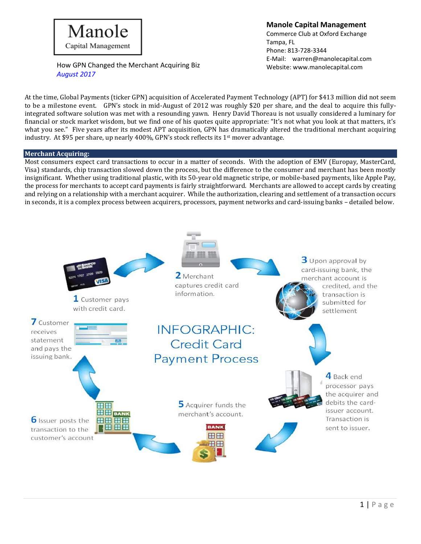## Manole Capital Management

### **Manole Capital Management**

Commerce Club at Oxford Exchange Tampa, FL Phone: 813-728-3344 E-Mail: [warren@manolecapital.com](mailto:warren@manolecapital.com)

How GPN Changed the Merchant Acquiring Biz Website: [www.manolecapital.com](http://www.manolecapital.com/) *August 2017*

At the time, Global Payments (ticker GPN) acquisition of Accelerated Payment Technology (APT) for \$413 million did not seem to be a milestone event. GPN's stock in mid-August of 2012 was roughly \$20 per share, and the deal to acquire this fullyintegrated software solution was met with a resounding yawn. Henry David Thoreau is not usually considered a luminary for financial or stock market wisdom, but we find one of his quotes quite appropriate: "It's not what you look at that matters, it's what you see." Five years after its modest APT acquisition, GPN has dramatically altered the traditional merchant acquiring industry. At \$95 per share, up nearly 400%, GPN's stock reflects its  $1<sup>st</sup>$  mover advantage.

#### **Merchant Acquiring:**

Most consumers expect card transactions to occur in a matter of seconds. With the adoption of EMV (Europay, MasterCard, Visa) standards, chip transaction slowed down the process, but the difference to the consumer and merchant has been mostly insignificant. Whether using traditional plastic, with its 50-year old magnetic stripe, or mobile-based payments, like Apple Pay, the process for merchants to accept card payments is fairly straightforward. Merchants are allowed to accept cards by creating and relying on a relationship with a merchant acquirer. While the authorization, clearing and settlement of a transaction occurs in seconds, it is a complex process between acquirers, processors, payment networks and card-issuing banks – detailed below.

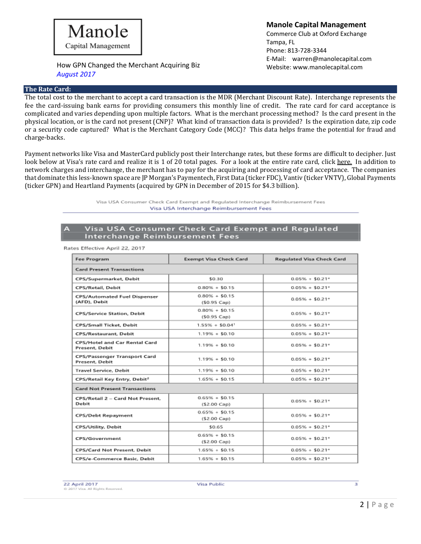#### **The Rate Card:**

**Manole Capital Management** Commerce Club at Oxford Exchange Tampa, FL

Phone: 813-728-3344 E-Mail: [warren@manolecapital.com](mailto:warren@manolecapital.com)

The total cost to the merchant to accept a card transaction is the MDR (Merchant Discount Rate). Interchange represents the fee the card-issuing bank earns for providing consumers this monthly line of credit. The rate card for card acceptance is complicated and varies depending upon multiple factors. What is the merchant processing method? Is the card present in the physical location, or is the card not present (CNP)? What kind of transaction data is provided? Is the expiration date, zip code or a security code captured? What is the Merchant Category Code (MCC)? This data helps frame the potential for fraud and charge-backs.

Payment networks like Visa and MasterCard publicly post their Interchange rates, but these forms are difficult to decipher. Just look below at Visa's rate card and realize it is 1 of 20 total pages. For a look at the entire rate card, click [here.](https://usa.visa.com/dam/VCOM/global/support-legal/documents/visa-usa-interchange-reimbursement-fees-2017-april.pdf) In addition to network charges and interchange, the merchant has to pay for the acquiring and processing of card acceptance. The companies that dominate this less-known space are JP Morgan's Paymentech, First Data (ticker FDC), Vantiv (ticker VNTV), Global Payments (ticker GPN) and Heartland Payments (acquired by GPN in December of 2015 for \$4.3 billion).

> Visa USA Consumer Check Card Exempt and Regulated Interchange Reimbursement Fees Visa USA Interchange Reimbursement Fees

#### Visa USA Consumer Check Card Exempt and Regulated Interchange Reimbursement Fees

| <b>Fee Program</b>                                     | <b>Exempt Visa Check Card</b>             | <b>Regulated Visa Check Card</b> |
|--------------------------------------------------------|-------------------------------------------|----------------------------------|
| <b>Card Present Transactions</b>                       |                                           |                                  |
| CPS/Supermarket, Debit                                 | \$0.30                                    | $0.05\% + $0.21*$                |
| CPS/Retail, Debit                                      | $0.80\% + $0.15$                          | $0.05\% + $0.21*$                |
| <b>CPS/Automated Fuel Dispenser</b><br>(AFD), Debit    | $0.80\% + $0.15$<br>$(50.95 \text{ Cap})$ | $0.05\% + $0.21*$                |
| <b>CPS/Service Station, Debit</b>                      | $0.80\% + $0.15$<br>$(50.95 \text{ Cap})$ | $0.05\% + $0.21*$                |
| CPS/Small Ticket, Debit                                | $1.55\% + $0.04$ <sup>1</sup>             | $0.05\% + $0.21*$                |
| <b>CPS/Restaurant, Debit</b>                           | $1.19% + $0.10$                           | $0.05\% + $0.21*$                |
| <b>CPS/Hotel and Car Rental Card</b><br>Present, Debit | $1.19% + $0.10$                           | $0.05\% + $0.21*$                |
| CPS/Passenger Transport Card<br>Present, Debit         | $1.19% + $0.10$                           | $0.05\% + $0.21*$                |
| <b>Travel Service, Debit</b>                           | $1.19% + $0.10$                           | $0.05\% + $0.21*$                |
| CPS/Retail Key Entry, Debit <sup>2</sup>               | $1.65\% + $0.15$                          | $0.05\% + $0.21*$                |
| <b>Card Not Present Transactions</b>                   |                                           |                                  |
| CPS/Retail 2 - Card Not Present,<br>Debit              | $0.65\% + $0.15$<br>(\$2.00 Cap)          | $0.05\% + $0.21*$                |
| <b>CPS/Debt Repayment</b>                              | $0.65\% + $0.15$<br>(\$2.00 Cap)          | $0.05\% + $0.21*$                |
| <b>CPS/Utility, Debit</b>                              | \$0.65                                    | $0.05\% + $0.21*$                |
| CPS/Government                                         | $0.65\% + $0.15$<br>(\$2.00 Cap)          | $0.05\% + $0.21*$                |
| <b>CPS/Card Not Present, Debit</b>                     | $1.65\% + $0.15$                          | $0.05\% + $0.21*$                |
| CPS/e-Commerce Basic, Debit                            | $1.65\% + $0.15$                          | $0.05\% + $0.21*$                |

Rates Effective April 22, 2017

22 April 2017 Il Rights Reserved.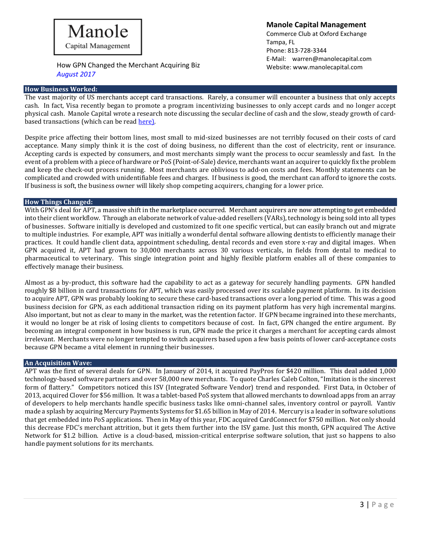

#### **How Business Worked:**

**Manole Capital Management**

Commerce Club at Oxford Exchange Tampa, FL Phone: 813-728-3344 E-Mail: [warren@manolecapital.com](mailto:warren@manolecapital.com)

The vast majority of US merchants accept card transactions. Rarely, a consumer will encounter a business that only accepts cash. In fact, Visa recently began to promote a program incentivizing businesses to only accept cards and no longer accept physical cash. Manole Capital wrote a research note discussing the secular decline of cash and the slow, steady growth of cardbased transactions (which can be rea[d here\)](https://docs.wixstatic.com/ugd/43315f_0dd37796a6584165b7be3af3f9e28a76.pdf).

Despite price affecting their bottom lines, most small to mid-sized businesses are not terribly focused on their costs of card acceptance. Many simply think it is the cost of doing business, no different than the cost of electricity, rent or insurance. Accepting cards is expected by consumers, and most merchants simply want the process to occur seamlessly and fast. In the event of a problem with a piece of hardware or PoS (Point-of-Sale) device, merchants want an acquirer to quickly fix the problem and keep the check-out process running. Most merchants are oblivious to add-on costs and fees. Monthly statements can be complicated and crowded with unidentifiable fees and charges. If business is good, the merchant can afford to ignore the costs. If business is soft, the business owner will likely shop competing acquirers, changing for a lower price.

#### **How Things Changed:**

With GPN's deal for APT, a massive shift in the marketplace occurred. Merchant acquirers are now attempting to get embedded into their client workflow. Through an elaborate network of value-added resellers (VARs), technology is being sold into all types of businesses. Software initially is developed and customized to fit one specific vertical, but can easily branch out and migrate to multiple industries. For example, APT was initially a wonderful dental software allowing dentists to efficiently manage their practices. It could handle client data, appointment scheduling, dental records and even store x-ray and digital images. When GPN acquired it, APT had grown to 30,000 merchants across 30 various verticals, in fields from dental to medical to pharmaceutical to veterinary. This single integration point and highly flexible platform enables all of these companies to effectively manage their business.

Almost as a by-product, this software had the capability to act as a gateway for securely handling payments. GPN handled roughly \$8 billion in card transactions for APT, which was easily processed over its scalable payment platform. In its decision to acquire APT, GPN was probably looking to secure these card-based transactions over a long period of time. This was a good business decision for GPN, as each additional transaction riding on its payment platform has very high incremental margins. Also important, but not as clear to many in the market, was the retention factor. If GPN became ingrained into these merchants, it would no longer be at risk of losing clients to competitors because of cost. In fact, GPN changed the entire argument. By becoming an integral component in how business is run, GPN made the price it charges a merchant for accepting cards almost irrelevant. Merchants were no longer tempted to switch acquirers based upon a few basis points of lower card-acceptance costs because GPN became a vital element in running their businesses.

#### **An Acquisition Wave:**

APT was the first of several deals for GPN. In January of 2014, it acquired PayPros for \$420 million. This deal added 1,000 technology-based software partners and over 58,000 new merchants. To quote Charles Caleb Colton, "Imitation is the sincerest form of flattery." Competitors noticed this ISV (Integrated Software Vendor) trend and responded. First Data, in October of 2013, acquired Clover for \$56 million. It was a tablet-based PoS system that allowed merchants to download apps from an array of developers to help merchants handle specific business tasks like omni-channel sales, inventory control or payroll. Vantiv made a splash by acquiring Mercury Payments Systems for \$1.65 billion in May of 2014. Mercury is a leader in software solutions that get embedded into PoS applications. Then in May of this year, FDC acquired CardConnect for \$750 million. Not only should this decrease FDC's merchant attrition, but it gets them further into the ISV game. Just this month, GPN acquired The Active Network for \$1.2 billion. Active is a cloud-based, mission-critical enterprise software solution, that just so happens to also handle payment solutions for its merchants.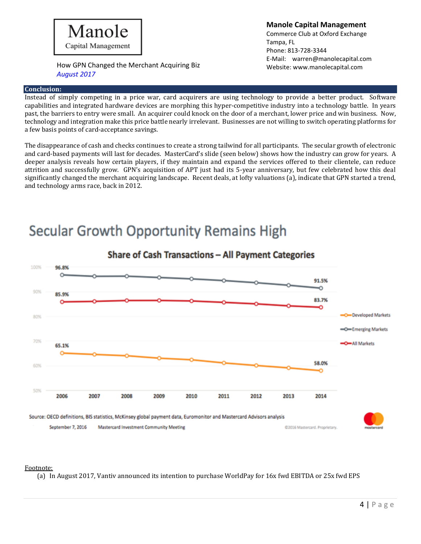

#### **Conclusion:**

**Manole Capital Management** Commerce Club at Oxford Exchange Tampa, FL Phone: 813-728-3344 E-Mail: [warren@manolecapital.com](mailto:warren@manolecapital.com)

Instead of simply competing in a price war, card acquirers are using technology to provide a better product. Software capabilities and integrated hardware devices are morphing this hyper-competitive industry into a technology battle. In years past, the barriers to entry were small. An acquirer could knock on the door of a merchant, lower price and win business. Now, technology and integration make this price battle nearly irrelevant. Businesses are not willing to switch operating platforms for a few basis points of card-acceptance savings.

The disappearance of cash and checks continues to create a strong tailwind for all participants. The secular growth of electronic and card-based payments will last for decades. MasterCard's slide (seen below) shows how the industry can grow for years. A deeper analysis reveals how certain players, if they maintain and expand the services offered to their clientele, can reduce attrition and successfully grow. GPN's acquisition of APT just had its 5-year anniversary, but few celebrated how this deal significantly changed the merchant acquiring landscape. Recent deals, at lofty valuations (a), indicate that GPN started a trend, and technology arms race, back in 2012.

# **Secular Growth Opportunity Remains High**



### Share of Cash Transactions - All Payment Categories

#### Footnote:

(a) In August 2017, Vantiv announced its intention to purchase WorldPay for 16x fwd EBITDA or 25x fwd EPS